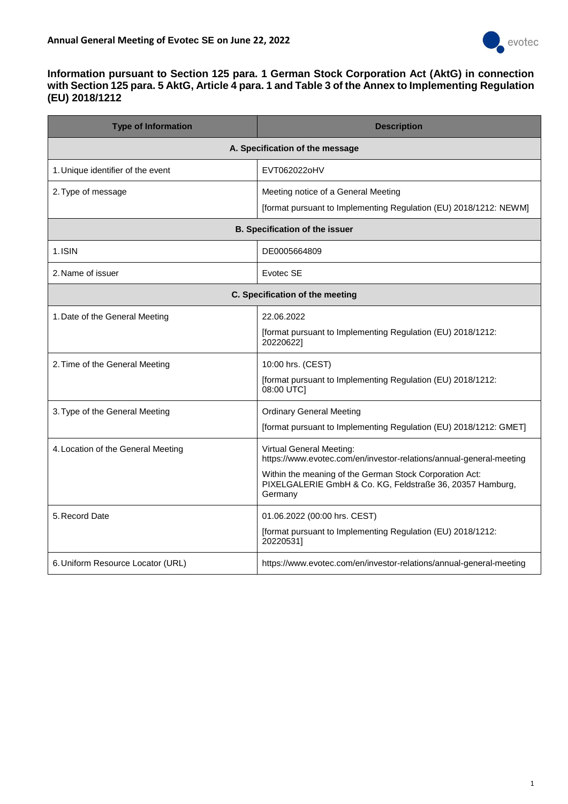

### **Information pursuant to Section 125 para. 1 German Stock Corporation Act (AktG) in connection with Section 125 para. 5 AktG, Article 4 para. 1 and Table 3 of the Annex to Implementing Regulation (EU) 2018/1212**

| <b>Type of Information</b>            | <b>Description</b>                                                                                                              |  |
|---------------------------------------|---------------------------------------------------------------------------------------------------------------------------------|--|
|                                       | A. Specification of the message                                                                                                 |  |
| 1. Unique identifier of the event     | EVT062022oHV                                                                                                                    |  |
| 2. Type of message                    | Meeting notice of a General Meeting                                                                                             |  |
|                                       | [format pursuant to Implementing Regulation (EU) 2018/1212: NEWM]                                                               |  |
| <b>B. Specification of the issuer</b> |                                                                                                                                 |  |
| 1.ISIN                                | DE0005664809                                                                                                                    |  |
| 2. Name of issuer                     | Evotec SE                                                                                                                       |  |
| C. Specification of the meeting       |                                                                                                                                 |  |
| 1. Date of the General Meeting        | 22.06.2022                                                                                                                      |  |
|                                       | [format pursuant to Implementing Regulation (EU) 2018/1212:<br>20220622]                                                        |  |
| 2. Time of the General Meeting        | 10:00 hrs. (CEST)                                                                                                               |  |
|                                       | [format pursuant to Implementing Regulation (EU) 2018/1212:<br>08:00 UTC]                                                       |  |
| 3. Type of the General Meeting        | <b>Ordinary General Meeting</b>                                                                                                 |  |
|                                       | [format pursuant to Implementing Regulation (EU) 2018/1212: GMET]                                                               |  |
| 4. Location of the General Meeting    | Virtual General Meeting:<br>https://www.evotec.com/en/investor-relations/annual-general-meeting                                 |  |
|                                       | Within the meaning of the German Stock Corporation Act:<br>PIXELGALERIE GmbH & Co. KG, Feldstraße 36, 20357 Hamburg,<br>Germany |  |
| 5. Record Date                        | 01.06.2022 (00:00 hrs. CEST)                                                                                                    |  |
|                                       | [format pursuant to Implementing Regulation (EU) 2018/1212:<br>20220531]                                                        |  |
| 6. Uniform Resource Locator (URL)     | https://www.evotec.com/en/investor-relations/annual-general-meeting                                                             |  |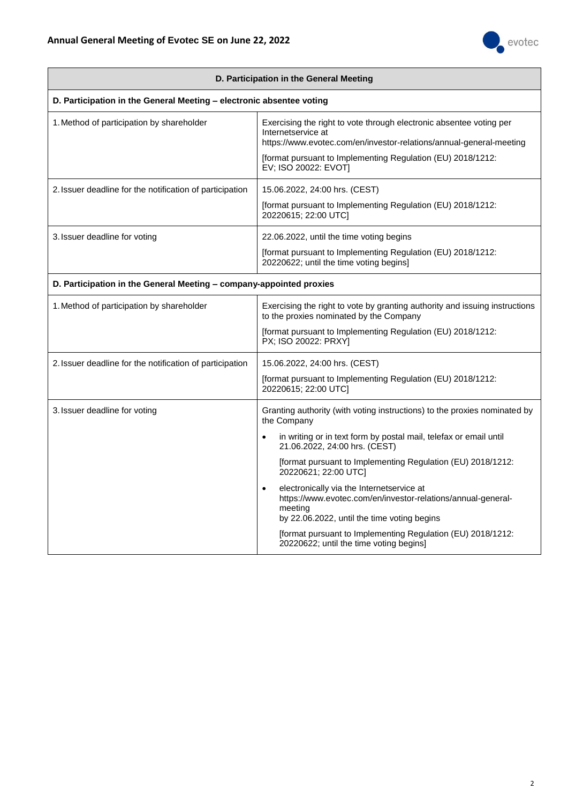

| D. Participation in the General Meeting                              |                                                                                                                                                                                                                                                                                                                                                                                                                                                                                                                                                                                                  |  |
|----------------------------------------------------------------------|--------------------------------------------------------------------------------------------------------------------------------------------------------------------------------------------------------------------------------------------------------------------------------------------------------------------------------------------------------------------------------------------------------------------------------------------------------------------------------------------------------------------------------------------------------------------------------------------------|--|
| D. Participation in the General Meeting - electronic absentee voting |                                                                                                                                                                                                                                                                                                                                                                                                                                                                                                                                                                                                  |  |
| 1. Method of participation by shareholder                            | Exercising the right to vote through electronic absentee voting per<br>Internetservice at<br>https://www.evotec.com/en/investor-relations/annual-general-meeting<br>[format pursuant to Implementing Regulation (EU) 2018/1212:<br>EV; ISO 20022: EVOT]                                                                                                                                                                                                                                                                                                                                          |  |
| 2. Issuer deadline for the notification of participation             | 15.06.2022, 24:00 hrs. (CEST)<br>[format pursuant to Implementing Regulation (EU) 2018/1212:<br>20220615; 22:00 UTC]                                                                                                                                                                                                                                                                                                                                                                                                                                                                             |  |
| 3. Issuer deadline for voting                                        | 22.06.2022, until the time voting begins<br>[format pursuant to Implementing Regulation (EU) 2018/1212:<br>20220622; until the time voting begins]                                                                                                                                                                                                                                                                                                                                                                                                                                               |  |
| D. Participation in the General Meeting - company-appointed proxies  |                                                                                                                                                                                                                                                                                                                                                                                                                                                                                                                                                                                                  |  |
| 1. Method of participation by shareholder                            | Exercising the right to vote by granting authority and issuing instructions<br>to the proxies nominated by the Company<br>[format pursuant to Implementing Regulation (EU) 2018/1212:<br>PX; ISO 20022: PRXY]                                                                                                                                                                                                                                                                                                                                                                                    |  |
| 2. Issuer deadline for the notification of participation             | 15.06.2022, 24:00 hrs. (CEST)<br>[format pursuant to Implementing Regulation (EU) 2018/1212:<br>20220615; 22:00 UTC]                                                                                                                                                                                                                                                                                                                                                                                                                                                                             |  |
| 3. Issuer deadline for voting                                        | Granting authority (with voting instructions) to the proxies nominated by<br>the Company<br>in writing or in text form by postal mail, telefax or email until<br>$\bullet$<br>21.06.2022, 24:00 hrs. (CEST)<br>[format pursuant to Implementing Regulation (EU) 2018/1212:<br>20220621; 22:00 UTC]<br>electronically via the Internetservice at<br>$\bullet$<br>https://www.evotec.com/en/investor-relations/annual-general-<br>meeting<br>by 22.06.2022, until the time voting begins<br>[format pursuant to Implementing Regulation (EU) 2018/1212:<br>20220622; until the time voting begins] |  |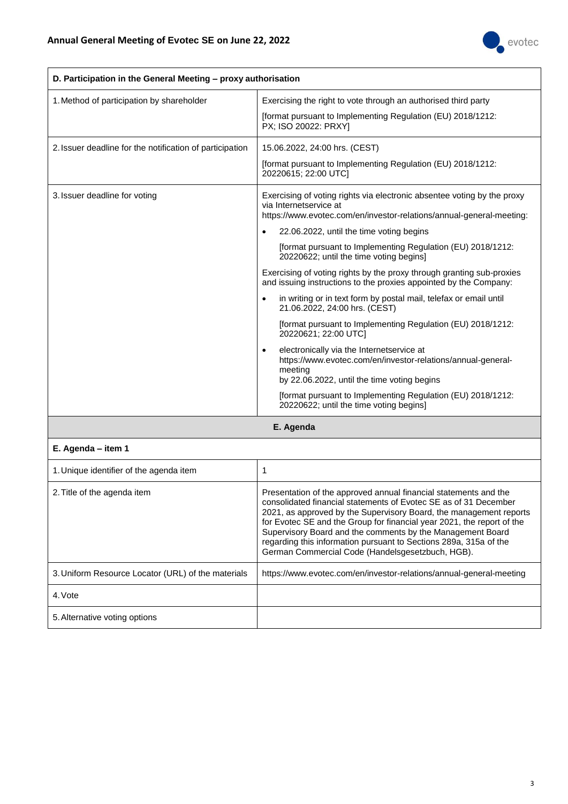

| D. Participation in the General Meeting - proxy authorisation |                                                                                                                                                                                                                                                                                                                                                                                                                                                                                                                                                                                                                                                                                                                                                                                                                                                                                                                                                                                       |
|---------------------------------------------------------------|---------------------------------------------------------------------------------------------------------------------------------------------------------------------------------------------------------------------------------------------------------------------------------------------------------------------------------------------------------------------------------------------------------------------------------------------------------------------------------------------------------------------------------------------------------------------------------------------------------------------------------------------------------------------------------------------------------------------------------------------------------------------------------------------------------------------------------------------------------------------------------------------------------------------------------------------------------------------------------------|
| 1. Method of participation by shareholder                     | Exercising the right to vote through an authorised third party<br>[format pursuant to Implementing Regulation (EU) 2018/1212:<br>PX; ISO 20022: PRXY]                                                                                                                                                                                                                                                                                                                                                                                                                                                                                                                                                                                                                                                                                                                                                                                                                                 |
| 2. Issuer deadline for the notification of participation      | 15.06.2022, 24:00 hrs. (CEST)<br>[format pursuant to Implementing Regulation (EU) 2018/1212:<br>20220615; 22:00 UTC]                                                                                                                                                                                                                                                                                                                                                                                                                                                                                                                                                                                                                                                                                                                                                                                                                                                                  |
| 3. Issuer deadline for voting                                 | Exercising of voting rights via electronic absentee voting by the proxy<br>via Internetservice at<br>https://www.evotec.com/en/investor-relations/annual-general-meeting:<br>22.06.2022, until the time voting begins<br>$\bullet$<br>[format pursuant to Implementing Regulation (EU) 2018/1212:<br>20220622; until the time voting begins]<br>Exercising of voting rights by the proxy through granting sub-proxies<br>and issuing instructions to the proxies appointed by the Company:<br>in writing or in text form by postal mail, telefax or email until<br>21.06.2022, 24:00 hrs. (CEST)<br>[format pursuant to Implementing Regulation (EU) 2018/1212:<br>20220621; 22:00 UTC]<br>electronically via the Internetservice at<br>$\bullet$<br>https://www.evotec.com/en/investor-relations/annual-general-<br>meeting<br>by 22.06.2022, until the time voting begins<br>[format pursuant to Implementing Regulation (EU) 2018/1212:<br>20220622; until the time voting begins] |

**E. Agenda**

#### **E. Agenda – item 1**

| 1. Unique identifier of the agenda item            |                                                                                                                                                                                                                                                                                                                                                                                                                                                                             |
|----------------------------------------------------|-----------------------------------------------------------------------------------------------------------------------------------------------------------------------------------------------------------------------------------------------------------------------------------------------------------------------------------------------------------------------------------------------------------------------------------------------------------------------------|
| 2. Title of the agenda item                        | Presentation of the approved annual financial statements and the<br>consolidated financial statements of Evotec SE as of 31 December<br>2021, as approved by the Supervisory Board, the management reports<br>for Evotec SE and the Group for financial year 2021, the report of the<br>Supervisory Board and the comments by the Management Board<br>regarding this information pursuant to Sections 289a, 315a of the<br>German Commercial Code (Handelsgesetzbuch, HGB). |
| 3. Uniform Resource Locator (URL) of the materials | https://www.evotec.com/en/investor-relations/annual-general-meeting                                                                                                                                                                                                                                                                                                                                                                                                         |
| 4. Vote                                            |                                                                                                                                                                                                                                                                                                                                                                                                                                                                             |
| 5. Alternative voting options                      |                                                                                                                                                                                                                                                                                                                                                                                                                                                                             |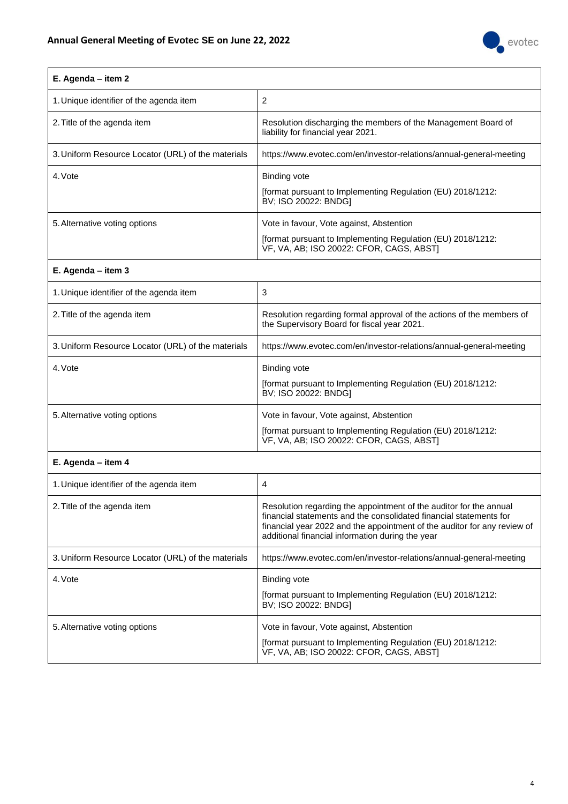

# **E. Agenda – item 2**

| 1. Unique identifier of the agenda item            | 2                                                                                                                                                   |
|----------------------------------------------------|-----------------------------------------------------------------------------------------------------------------------------------------------------|
| 2. Title of the agenda item                        | Resolution discharging the members of the Management Board of<br>liability for financial year 2021.                                                 |
| 3. Uniform Resource Locator (URL) of the materials | https://www.evotec.com/en/investor-relations/annual-general-meeting                                                                                 |
| 4. Vote                                            | Binding vote<br>[format pursuant to Implementing Regulation (EU) 2018/1212:<br>BV; ISO 20022: BNDG]                                                 |
| 5. Alternative voting options                      | Vote in favour, Vote against, Abstention<br>[format pursuant to Implementing Regulation (EU) 2018/1212:<br>VF, VA, AB; ISO 20022: CFOR, CAGS, ABSTI |

# **E. Agenda – item 3**

| 1. Unique identifier of the agenda item            | 3                                                                                                                                                   |
|----------------------------------------------------|-----------------------------------------------------------------------------------------------------------------------------------------------------|
| 2. Title of the agenda item                        | Resolution regarding formal approval of the actions of the members of<br>the Supervisory Board for fiscal year 2021.                                |
| 3. Uniform Resource Locator (URL) of the materials | https://www.evotec.com/en/investor-relations/annual-general-meeting                                                                                 |
| 4. Vote                                            | <b>Binding vote</b><br>[format pursuant to Implementing Regulation (EU) 2018/1212:<br>BV; ISO 20022: BNDG]                                          |
| 5. Alternative voting options                      | Vote in favour, Vote against, Abstention<br>[format pursuant to Implementing Regulation (EU) 2018/1212:<br>VF, VA, AB; ISO 20022: CFOR, CAGS, ABSTI |

#### **E. Agenda – item 4**

| 1. Unique identifier of the agenda item            | 4                                                                                                                                                                                                                                                                        |
|----------------------------------------------------|--------------------------------------------------------------------------------------------------------------------------------------------------------------------------------------------------------------------------------------------------------------------------|
| 2. Title of the agenda item                        | Resolution regarding the appointment of the auditor for the annual<br>financial statements and the consolidated financial statements for<br>financial year 2022 and the appointment of the auditor for any review of<br>additional financial information during the year |
| 3. Uniform Resource Locator (URL) of the materials | https://www.evotec.com/en/investor-relations/annual-general-meeting                                                                                                                                                                                                      |
| 4. Vote                                            | Binding vote<br>[format pursuant to Implementing Regulation (EU) 2018/1212:<br>BV; ISO 20022: BNDG]                                                                                                                                                                      |
| 5. Alternative voting options                      | Vote in favour, Vote against, Abstention<br>[format pursuant to Implementing Regulation (EU) 2018/1212:<br>VF, VA, AB; ISO 20022: CFOR, CAGS, ABST]                                                                                                                      |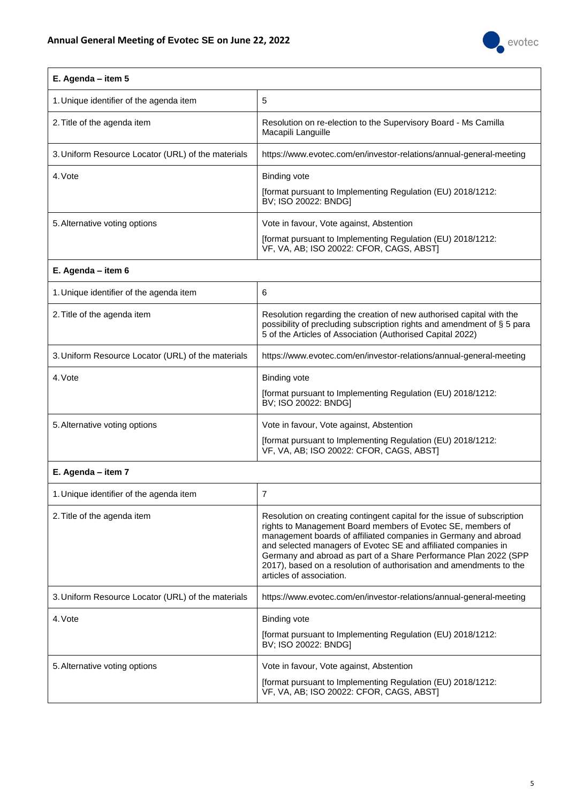

### **E. Agenda – item 5**

| 1. Unique identifier of the agenda item            | 5                                                                                                                                                   |
|----------------------------------------------------|-----------------------------------------------------------------------------------------------------------------------------------------------------|
| 2. Title of the agenda item                        | Resolution on re-election to the Supervisory Board - Ms Camilla<br>Macapili Languille                                                               |
| 3. Uniform Resource Locator (URL) of the materials | https://www.evotec.com/en/investor-relations/annual-general-meeting                                                                                 |
| 4. Vote                                            | Binding vote<br>[format pursuant to Implementing Regulation (EU) 2018/1212:<br>BV; ISO 20022: BNDG]                                                 |
| 5. Alternative voting options                      | Vote in favour, Vote against, Abstention<br>[format pursuant to Implementing Regulation (EU) 2018/1212:<br>VF, VA, AB; ISO 20022: CFOR, CAGS, ABSTI |

# **E. Agenda – item 6**

| 1. Unique identifier of the agenda item            | 6                                                                                                                                                                                                             |
|----------------------------------------------------|---------------------------------------------------------------------------------------------------------------------------------------------------------------------------------------------------------------|
| 2. Title of the agenda item                        | Resolution regarding the creation of new authorised capital with the<br>possibility of precluding subscription rights and amendment of § 5 para<br>5 of the Articles of Association (Authorised Capital 2022) |
| 3. Uniform Resource Locator (URL) of the materials | https://www.evotec.com/en/investor-relations/annual-general-meeting                                                                                                                                           |
| 4. Vote                                            | Binding vote<br>[format pursuant to Implementing Regulation (EU) 2018/1212:<br>BV; ISO 20022: BNDGI                                                                                                           |
| 5. Alternative voting options                      | Vote in favour, Vote against, Abstention<br>[format pursuant to Implementing Regulation (EU) 2018/1212:<br>VF, VA, AB; ISO 20022: CFOR, CAGS, ABSTI                                                           |

#### **E. Agenda – item 7**

| 1. Unique identifier of the agenda item            |                                                                                                                                                                                                                                                                                                                                                                                                                                                    |
|----------------------------------------------------|----------------------------------------------------------------------------------------------------------------------------------------------------------------------------------------------------------------------------------------------------------------------------------------------------------------------------------------------------------------------------------------------------------------------------------------------------|
| 2. Title of the agenda item                        | Resolution on creating contingent capital for the issue of subscription<br>rights to Management Board members of Evotec SE, members of<br>management boards of affiliated companies in Germany and abroad<br>and selected managers of Evotec SE and affiliated companies in<br>Germany and abroad as part of a Share Performance Plan 2022 (SPP<br>2017), based on a resolution of authorisation and amendments to the<br>articles of association. |
| 3. Uniform Resource Locator (URL) of the materials | https://www.evotec.com/en/investor-relations/annual-general-meeting                                                                                                                                                                                                                                                                                                                                                                                |
| 4. Vote                                            | Binding vote<br>[format pursuant to Implementing Regulation (EU) 2018/1212:<br>BV; ISO 20022: BNDGI                                                                                                                                                                                                                                                                                                                                                |
| 5. Alternative voting options                      | Vote in favour, Vote against, Abstention<br>[format pursuant to Implementing Regulation (EU) 2018/1212:<br>VF, VA, AB; ISO 20022: CFOR, CAGS, ABST]                                                                                                                                                                                                                                                                                                |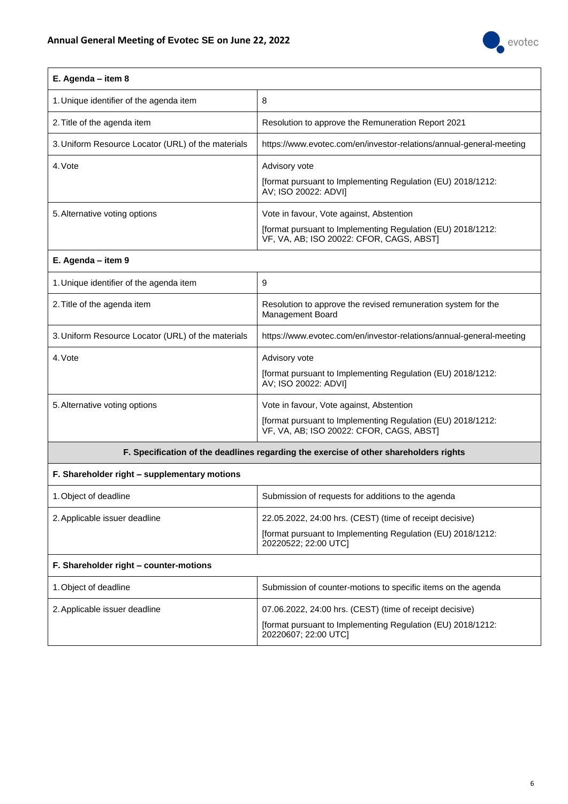

| E. Agenda - item 8                                 |                                                                                                         |
|----------------------------------------------------|---------------------------------------------------------------------------------------------------------|
| 1. Unique identifier of the agenda item            | 8                                                                                                       |
| 2. Title of the agenda item                        | Resolution to approve the Remuneration Report 2021                                                      |
| 3. Uniform Resource Locator (URL) of the materials | https://www.evotec.com/en/investor-relations/annual-general-meeting                                     |
| 4. Vote                                            | Advisory vote                                                                                           |
|                                                    | [format pursuant to Implementing Regulation (EU) 2018/1212:<br>AV; ISO 20022: ADVI]                     |
| 5. Alternative voting options                      | Vote in favour, Vote against, Abstention                                                                |
|                                                    | [format pursuant to Implementing Regulation (EU) 2018/1212:<br>VF, VA, AB; ISO 20022: CFOR, CAGS, ABST] |
| E. Agenda - item 9                                 |                                                                                                         |
| 1. Unique identifier of the agenda item            | 9                                                                                                       |
| 2. Title of the agenda item                        | Resolution to approve the revised remuneration system for the<br>Management Board                       |
| 3. Uniform Resource Locator (URL) of the materials | https://www.evotec.com/en/investor-relations/annual-general-meeting                                     |
| 4. Vote                                            | Advisory vote                                                                                           |
|                                                    | [format pursuant to Implementing Regulation (EU) 2018/1212:<br>AV; ISO 20022: ADVI]                     |
| 5. Alternative voting options                      | Vote in favour, Vote against, Abstention                                                                |
|                                                    | [format pursuant to Implementing Regulation (EU) 2018/1212:<br>VF, VA, AB; ISO 20022: CFOR, CAGS, ABST] |
|                                                    | F. Specification of the deadlines regarding the exercise of other shareholders rights                   |
| F. Shareholder right - supplementary motions       |                                                                                                         |
| 1. Object of deadline                              | Submission of requests for additions to the agenda                                                      |
| 2. Applicable issuer deadline                      | 22.05.2022, 24:00 hrs. (CEST) (time of receipt decisive)                                                |
|                                                    | [format pursuant to Implementing Regulation (EU) 2018/1212:<br>20220522; 22:00 UTC]                     |
| F. Shareholder right - counter-motions             |                                                                                                         |
| 1. Object of deadline                              | Submission of counter-motions to specific items on the agenda                                           |
| 2. Applicable issuer deadline                      | 07.06.2022, 24:00 hrs. (CEST) (time of receipt decisive)                                                |
|                                                    | [format pursuant to Implementing Regulation (EU) 2018/1212:<br>20220607; 22:00 UTC]                     |